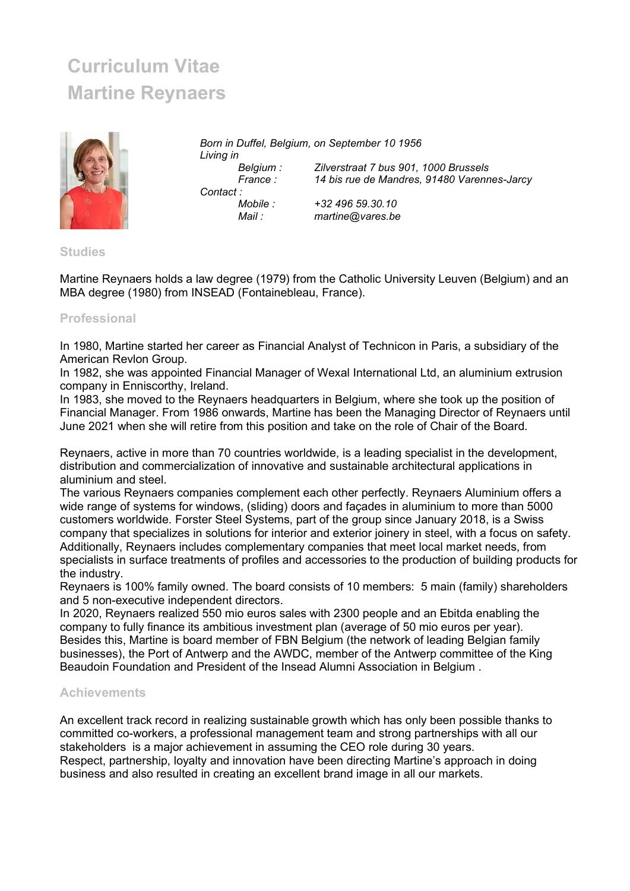## Curriculum Vitae Martine Reynaers



Born in Duffel, Belgium, on September 10 1956 Living in Belgium : Zilverstraat 7 bus 901, 1000 Brussels<br>France : 14 bis rue de Mandres, 91480 Varenn 14 bis rue de Mandres, 91480 Varennes-Jarcy Contact : Mobile : +32 496 59.30.10 Mail : martine@vares.be

## **Studies**

Martine Reynaers holds a law degree (1979) from the Catholic University Leuven (Belgium) and an MBA degree (1980) from INSEAD (Fontainebleau, France).

## Professional

In 1980, Martine started her career as Financial Analyst of Technicon in Paris, a subsidiary of the American Revlon Group.

In 1982, she was appointed Financial Manager of Wexal International Ltd, an aluminium extrusion company in Enniscorthy, Ireland.

In 1983, she moved to the Reynaers headquarters in Belgium, where she took up the position of Financial Manager. From 1986 onwards, Martine has been the Managing Director of Reynaers until June 2021 when she will retire from this position and take on the role of Chair of the Board.

Reynaers, active in more than 70 countries worldwide, is a leading specialist in the development, distribution and commercialization of innovative and sustainable architectural applications in aluminium and steel.

The various Reynaers companies complement each other perfectly. Reynaers Aluminium offers a wide range of systems for windows, (sliding) doors and façades in aluminium to more than 5000 customers worldwide. Forster Steel Systems, part of the group since January 2018, is a Swiss company that specializes in solutions for interior and exterior joinery in steel, with a focus on safety. Additionally, Reynaers includes complementary companies that meet local market needs, from specialists in surface treatments of profiles and accessories to the production of building products for the industry.

Reynaers is 100% family owned. The board consists of 10 members: 5 main (family) shareholders and 5 non-executive independent directors.

In 2020, Reynaers realized 550 mio euros sales with 2300 people and an Ebitda enabling the company to fully finance its ambitious investment plan (average of 50 mio euros per year). Besides this, Martine is board member of FBN Belgium (the network of leading Belgian family businesses), the Port of Antwerp and the AWDC, member of the Antwerp committee of the King Beaudoin Foundation and President of the Insead Alumni Association in Belgium .

## Achievements

An excellent track record in realizing sustainable growth which has only been possible thanks to committed co-workers, a professional management team and strong partnerships with all our stakeholders is a major achievement in assuming the CEO role during 30 years. Respect, partnership, loyalty and innovation have been directing Martine's approach in doing business and also resulted in creating an excellent brand image in all our markets.